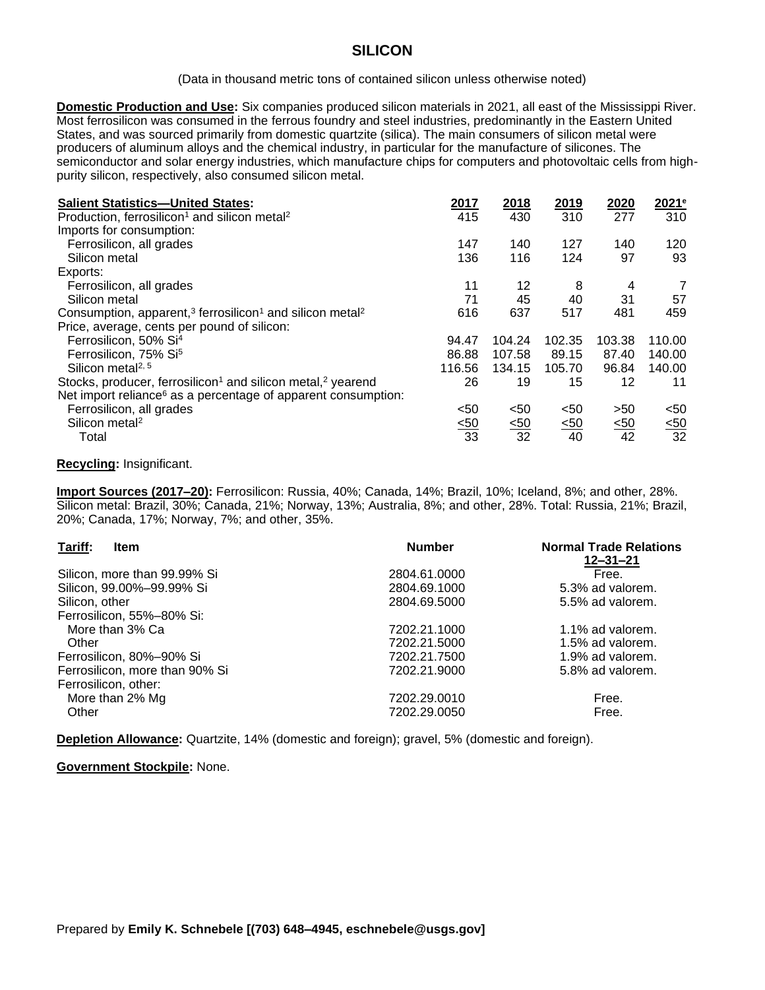# **SILICON**

(Data in thousand metric tons of contained silicon unless otherwise noted)

**Domestic Production and Use:** Six companies produced silicon materials in 2021, all east of the Mississippi River. Most ferrosilicon was consumed in the ferrous foundry and steel industries, predominantly in the Eastern United States, and was sourced primarily from domestic quartzite (silica). The main consumers of silicon metal were producers of aluminum alloys and the chemical industry, in particular for the manufacture of silicones. The semiconductor and solar energy industries, which manufacture chips for computers and photovoltaic cells from highpurity silicon, respectively, also consumed silicon metal.

| <b>Salient Statistics-United States:</b>                                            | 2017      | 2018          | 2019   | 2020   | 2021 <sup>e</sup> |
|-------------------------------------------------------------------------------------|-----------|---------------|--------|--------|-------------------|
| Production, ferrosilicon <sup>1</sup> and silicon metal <sup>2</sup>                | 415       | 430           | 310    | 277    | 310               |
| Imports for consumption:                                                            |           |               |        |        |                   |
| Ferrosilicon, all grades                                                            | 147       | 140           | 127    | 140    | 120               |
| Silicon metal                                                                       | 136       | 116           | 124    | 97     | 93                |
| Exports:                                                                            |           |               |        |        |                   |
| Ferrosilicon, all grades                                                            | 11        | 12            | 8      | 4      |                   |
| Silicon metal                                                                       | 71        | 45            | 40     | 31     | 57                |
| Consumption, apparent, $3$ ferrosilicon <sup>1</sup> and silicon metal <sup>2</sup> | 616       | 637           | 517    | 481    | 459               |
| Price, average, cents per pound of silicon:                                         |           |               |        |        |                   |
| Ferrosilicon, 50% Si <sup>4</sup>                                                   | 94.47     | 104.24        | 102.35 | 103.38 | 110.00            |
| Ferrosilicon, 75% Si <sup>5</sup>                                                   | 86.88     | 107.58        | 89.15  | 87.40  | 140.00            |
| Silicon metal <sup>2, 5</sup>                                                       | 116.56    | 134.15        | 105.70 | 96.84  | 140.00            |
| Stocks, producer, ferrosilicon <sup>1</sup> and silicon metal, <sup>2</sup> yearend | 26        | 19            | 15     | 12     | 11                |
| Net import reliance <sup>6</sup> as a percentage of apparent consumption:           |           |               |        |        |                   |
| Ferrosilicon, all grades                                                            | $50$      | $50$          | $50$   | >50    | $50$              |
| Silicon metal <sup>2</sup>                                                          | $\leq 50$ | <u>&lt;50</u> | 50     | 50     | 50                |
| Total                                                                               | 33        | 32            | 40     | 42     | $\overline{32}$   |

### **Recycling:** Insignificant.

**Import Sources (2017–20):** Ferrosilicon: Russia, 40%; Canada, 14%; Brazil, 10%; Iceland, 8%; and other, 28%. Silicon metal: Brazil, 30%; Canada, 21%; Norway, 13%; Australia, 8%; and other, 28%. Total: Russia, 21%; Brazil, 20%; Canada, 17%; Norway, 7%; and other, 35%.

| Tariff:<br>Item                | <b>Number</b> | <b>Normal Trade Relations</b><br>$12 - 31 - 21$ |
|--------------------------------|---------------|-------------------------------------------------|
| Silicon, more than 99.99% Si   | 2804.61.0000  | Free.                                           |
| Silicon, 99.00%-99.99% Si      | 2804.69.1000  | 5.3% ad valorem.                                |
| Silicon, other                 | 2804.69.5000  | 5.5% ad valorem.                                |
| Ferrosilicon, 55%-80% Si:      |               |                                                 |
| More than 3% Ca                | 7202.21.1000  | 1.1% ad valorem.                                |
| Other                          | 7202.21.5000  | 1.5% ad valorem.                                |
| Ferrosilicon, 80%-90% Si       | 7202.21.7500  | 1.9% ad valorem.                                |
| Ferrosilicon, more than 90% Si | 7202.21.9000  | 5.8% ad valorem.                                |
| Ferrosilicon, other:           |               |                                                 |
| More than 2% Mg                | 7202.29.0010  | Free.                                           |
| Other                          | 7202.29.0050  | Free.                                           |

**Depletion Allowance:** Quartzite, 14% (domestic and foreign); gravel, 5% (domestic and foreign).

### **Government Stockpile:** None.